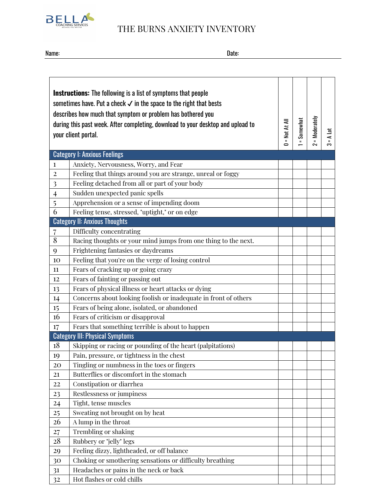

## **BELLA**<br>THE BURNS ANXIETY INVENTORY

Name: Date:

| <b>Instructions:</b> The following is a list of symptoms that people<br>sometimes have. Put a check √ in the space to the right that bests<br>describes how much that symptom or problem has bothered you<br>= Moderately<br>= Somewhat<br>$=$ Not At All<br>during this past week. After completing, download to your desktop and upload to<br>흐<br>your client portal.<br>⋖<br>$\Rightarrow$<br>ຕ |                                                                 |  |  |  |  |  |  |
|-----------------------------------------------------------------------------------------------------------------------------------------------------------------------------------------------------------------------------------------------------------------------------------------------------------------------------------------------------------------------------------------------------|-----------------------------------------------------------------|--|--|--|--|--|--|
|                                                                                                                                                                                                                                                                                                                                                                                                     | <b>Category I: Anxious Feelings</b>                             |  |  |  |  |  |  |
| $\mathbf{1}$                                                                                                                                                                                                                                                                                                                                                                                        | Anxiety, Nervousness, Worry, and Fear                           |  |  |  |  |  |  |
| $\overline{2}$                                                                                                                                                                                                                                                                                                                                                                                      | Feeling that things around you are strange, unreal or foggy     |  |  |  |  |  |  |
| 3                                                                                                                                                                                                                                                                                                                                                                                                   | Feeling detached from all or part of your body                  |  |  |  |  |  |  |
| $\overline{\mathbf{r}}$                                                                                                                                                                                                                                                                                                                                                                             | Sudden unexpected panic spells                                  |  |  |  |  |  |  |
| 5                                                                                                                                                                                                                                                                                                                                                                                                   | Apprehension or a sense of impending doom                       |  |  |  |  |  |  |
| 6                                                                                                                                                                                                                                                                                                                                                                                                   | Feeling tense, stressed, "uptight," or on edge                  |  |  |  |  |  |  |
|                                                                                                                                                                                                                                                                                                                                                                                                     | <b>Category II: Anxious Thoughts</b>                            |  |  |  |  |  |  |
| 7                                                                                                                                                                                                                                                                                                                                                                                                   | Difficulty concentrating                                        |  |  |  |  |  |  |
| 8                                                                                                                                                                                                                                                                                                                                                                                                   | Racing thoughts or your mind jumps from one thing to the next.  |  |  |  |  |  |  |
| 9                                                                                                                                                                                                                                                                                                                                                                                                   | Frightening fantasies or daydreams                              |  |  |  |  |  |  |
| 10                                                                                                                                                                                                                                                                                                                                                                                                  | Feeling that you're on the verge of losing control              |  |  |  |  |  |  |
| 11                                                                                                                                                                                                                                                                                                                                                                                                  | Fears of cracking up or going crazy                             |  |  |  |  |  |  |
| 12                                                                                                                                                                                                                                                                                                                                                                                                  | Fears of fainting or passing out                                |  |  |  |  |  |  |
| 13                                                                                                                                                                                                                                                                                                                                                                                                  | Fears of physical illness or heart attacks or dying             |  |  |  |  |  |  |
| 14                                                                                                                                                                                                                                                                                                                                                                                                  | Concerns about looking foolish or inadequate in front of others |  |  |  |  |  |  |
| 15                                                                                                                                                                                                                                                                                                                                                                                                  | Fears of being alone, isolated, or abandoned                    |  |  |  |  |  |  |
| 16                                                                                                                                                                                                                                                                                                                                                                                                  | Fears of criticism or disapproval                               |  |  |  |  |  |  |
| 17                                                                                                                                                                                                                                                                                                                                                                                                  | Fears that something terrible is about to happen                |  |  |  |  |  |  |
|                                                                                                                                                                                                                                                                                                                                                                                                     | <b>Category III: Physical Symptoms</b>                          |  |  |  |  |  |  |
| 18                                                                                                                                                                                                                                                                                                                                                                                                  | Skipping or racing or pounding of the heart (palpitations)      |  |  |  |  |  |  |
| 19                                                                                                                                                                                                                                                                                                                                                                                                  | Pain, pressure, or tightness in the chest                       |  |  |  |  |  |  |
| 20                                                                                                                                                                                                                                                                                                                                                                                                  | Tingling or numbness in the toes or fingers                     |  |  |  |  |  |  |
| 21                                                                                                                                                                                                                                                                                                                                                                                                  | Butterflies or discomfort in the stomach                        |  |  |  |  |  |  |
| 22                                                                                                                                                                                                                                                                                                                                                                                                  | Constipation or diarrhea                                        |  |  |  |  |  |  |
| 23                                                                                                                                                                                                                                                                                                                                                                                                  | Restlessness or jumpiness                                       |  |  |  |  |  |  |
| 24                                                                                                                                                                                                                                                                                                                                                                                                  | Tight, tense muscles                                            |  |  |  |  |  |  |
| 25                                                                                                                                                                                                                                                                                                                                                                                                  | Sweating not brought on by heat                                 |  |  |  |  |  |  |
| 26                                                                                                                                                                                                                                                                                                                                                                                                  | A lump in the throat                                            |  |  |  |  |  |  |
| 27<br>28                                                                                                                                                                                                                                                                                                                                                                                            | <b>Trembling or shaking</b><br>Rubbery or "jelly" legs          |  |  |  |  |  |  |
|                                                                                                                                                                                                                                                                                                                                                                                                     | Feeling dizzy, lightheaded, or off balance                      |  |  |  |  |  |  |
| 29                                                                                                                                                                                                                                                                                                                                                                                                  | Choking or smothering sensations or difficulty breathing        |  |  |  |  |  |  |
| 30                                                                                                                                                                                                                                                                                                                                                                                                  | Headaches or pains in the neck or back                          |  |  |  |  |  |  |
| 31                                                                                                                                                                                                                                                                                                                                                                                                  | Hot flashes or cold chills                                      |  |  |  |  |  |  |
| 32                                                                                                                                                                                                                                                                                                                                                                                                  |                                                                 |  |  |  |  |  |  |